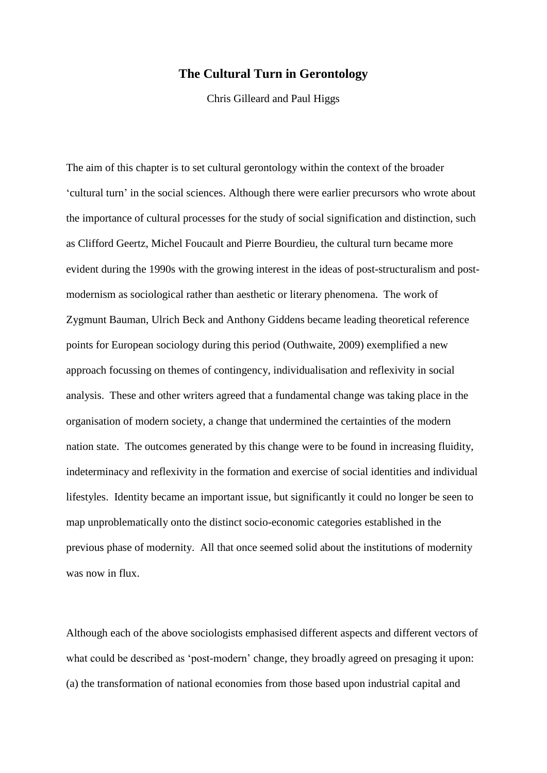# **The Cultural Turn in Gerontology**

Chris Gilleard and Paul Higgs

The aim of this chapter is to set cultural gerontology within the context of the broader 'cultural turn' in the social sciences. Although there were earlier precursors who wrote about the importance of cultural processes for the study of social signification and distinction, such as Clifford Geertz, Michel Foucault and Pierre Bourdieu, the cultural turn became more evident during the 1990s with the growing interest in the ideas of post-structuralism and postmodernism as sociological rather than aesthetic or literary phenomena. The work of Zygmunt Bauman, Ulrich Beck and Anthony Giddens became leading theoretical reference points for European sociology during this period (Outhwaite, 2009) exemplified a new approach focussing on themes of contingency, individualisation and reflexivity in social analysis. These and other writers agreed that a fundamental change was taking place in the organisation of modern society, a change that undermined the certainties of the modern nation state. The outcomes generated by this change were to be found in increasing fluidity, indeterminacy and reflexivity in the formation and exercise of social identities and individual lifestyles. Identity became an important issue, but significantly it could no longer be seen to map unproblematically onto the distinct socio-economic categories established in the previous phase of modernity. All that once seemed solid about the institutions of modernity was now in flux.

Although each of the above sociologists emphasised different aspects and different vectors of what could be described as 'post-modern' change, they broadly agreed on presaging it upon: (a) the transformation of national economies from those based upon industrial capital and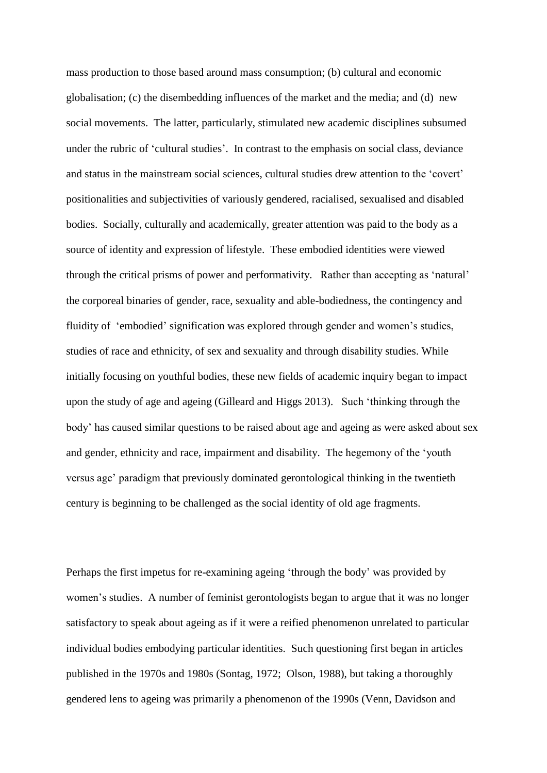mass production to those based around mass consumption; (b) cultural and economic globalisation; (c) the disembedding influences of the market and the media; and (d) new social movements. The latter, particularly, stimulated new academic disciplines subsumed under the rubric of 'cultural studies'. In contrast to the emphasis on social class, deviance and status in the mainstream social sciences, cultural studies drew attention to the 'covert' positionalities and subjectivities of variously gendered, racialised, sexualised and disabled bodies. Socially, culturally and academically, greater attention was paid to the body as a source of identity and expression of lifestyle. These embodied identities were viewed through the critical prisms of power and performativity. Rather than accepting as 'natural' the corporeal binaries of gender, race, sexuality and able-bodiedness, the contingency and fluidity of 'embodied' signification was explored through gender and women's studies, studies of race and ethnicity, of sex and sexuality and through disability studies. While initially focusing on youthful bodies, these new fields of academic inquiry began to impact upon the study of age and ageing (Gilleard and Higgs 2013). Such 'thinking through the body' has caused similar questions to be raised about age and ageing as were asked about sex and gender, ethnicity and race, impairment and disability. The hegemony of the 'youth versus age' paradigm that previously dominated gerontological thinking in the twentieth century is beginning to be challenged as the social identity of old age fragments.

Perhaps the first impetus for re-examining ageing 'through the body' was provided by women's studies. A number of feminist gerontologists began to argue that it was no longer satisfactory to speak about ageing as if it were a reified phenomenon unrelated to particular individual bodies embodying particular identities. Such questioning first began in articles published in the 1970s and 1980s (Sontag, 1972; Olson, 1988), but taking a thoroughly gendered lens to ageing was primarily a phenomenon of the 1990s (Venn, Davidson and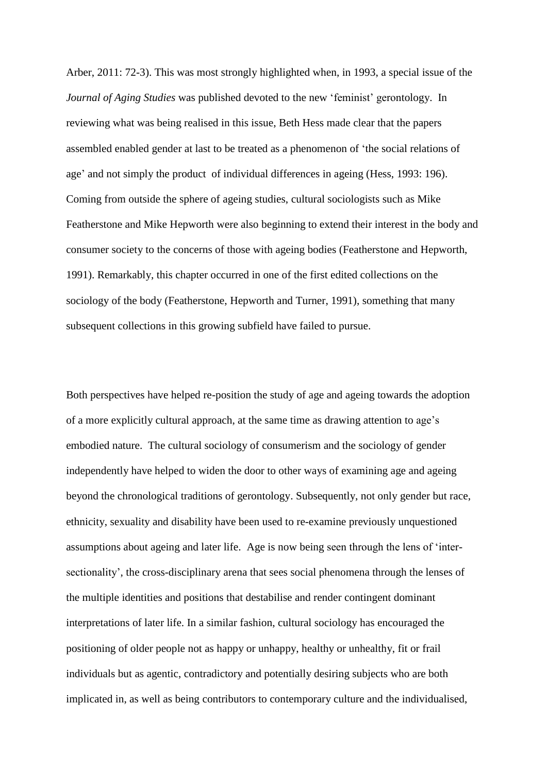Arber, 2011: 72-3). This was most strongly highlighted when, in 1993, a special issue of the *Journal of Aging Studies* was published devoted to the new 'feminist' gerontology. In reviewing what was being realised in this issue, Beth Hess made clear that the papers assembled enabled gender at last to be treated as a phenomenon of 'the social relations of age' and not simply the product of individual differences in ageing (Hess, 1993: 196). Coming from outside the sphere of ageing studies, cultural sociologists such as Mike Featherstone and Mike Hepworth were also beginning to extend their interest in the body and consumer society to the concerns of those with ageing bodies (Featherstone and Hepworth, 1991). Remarkably, this chapter occurred in one of the first edited collections on the sociology of the body (Featherstone, Hepworth and Turner, 1991), something that many subsequent collections in this growing subfield have failed to pursue.

Both perspectives have helped re-position the study of age and ageing towards the adoption of a more explicitly cultural approach, at the same time as drawing attention to age's embodied nature. The cultural sociology of consumerism and the sociology of gender independently have helped to widen the door to other ways of examining age and ageing beyond the chronological traditions of gerontology. Subsequently, not only gender but race, ethnicity, sexuality and disability have been used to re-examine previously unquestioned assumptions about ageing and later life. Age is now being seen through the lens of 'intersectionality', the cross-disciplinary arena that sees social phenomena through the lenses of the multiple identities and positions that destabilise and render contingent dominant interpretations of later life. In a similar fashion, cultural sociology has encouraged the positioning of older people not as happy or unhappy, healthy or unhealthy, fit or frail individuals but as agentic, contradictory and potentially desiring subjects who are both implicated in, as well as being contributors to contemporary culture and the individualised,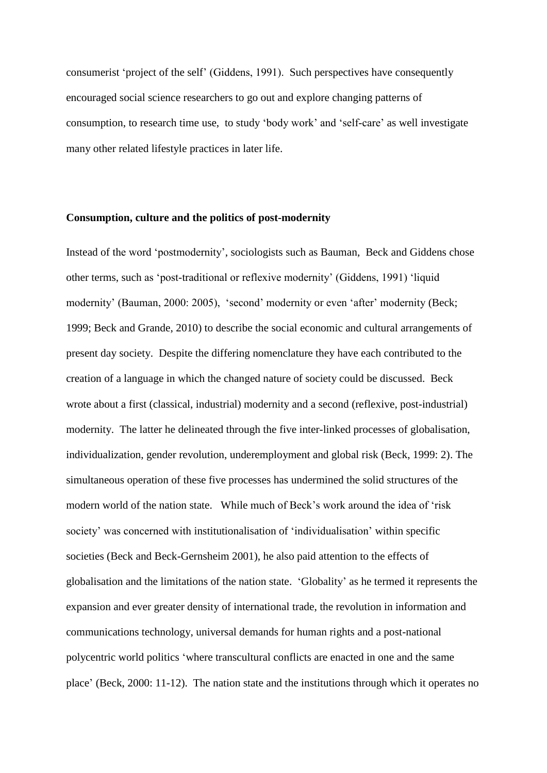consumerist 'project of the self' (Giddens, 1991). Such perspectives have consequently encouraged social science researchers to go out and explore changing patterns of consumption, to research time use, to study 'body work' and 'self-care' as well investigate many other related lifestyle practices in later life.

## **Consumption, culture and the politics of post-modernity**

Instead of the word 'postmodernity', sociologists such as Bauman, Beck and Giddens chose other terms, such as 'post-traditional or reflexive modernity' (Giddens, 1991) 'liquid modernity' (Bauman, 2000: 2005), 'second' modernity or even 'after' modernity (Beck; 1999; Beck and Grande, 2010) to describe the social economic and cultural arrangements of present day society. Despite the differing nomenclature they have each contributed to the creation of a language in which the changed nature of society could be discussed. Beck wrote about a first (classical, industrial) modernity and a second (reflexive, post-industrial) modernity. The latter he delineated through the five inter-linked processes of globalisation, individualization, gender revolution, underemployment and global risk (Beck, 1999: 2). The simultaneous operation of these five processes has undermined the solid structures of the modern world of the nation state. While much of Beck's work around the idea of 'risk society' was concerned with institutionalisation of 'individualisation' within specific societies (Beck and Beck-Gernsheim 2001), he also paid attention to the effects of globalisation and the limitations of the nation state. 'Globality' as he termed it represents the expansion and ever greater density of international trade, the revolution in information and communications technology, universal demands for human rights and a post-national polycentric world politics 'where transcultural conflicts are enacted in one and the same place' (Beck, 2000: 11-12). The nation state and the institutions through which it operates no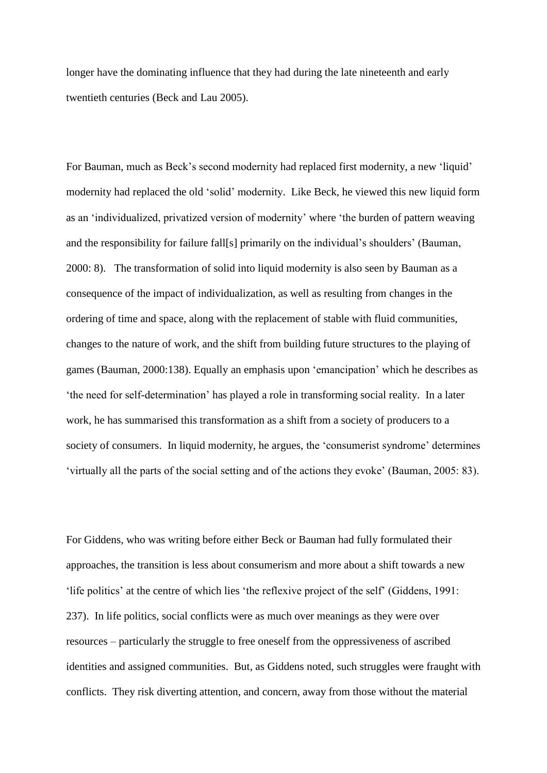longer have the dominating influence that they had during the late nineteenth and early twentieth centuries (Beck and Lau 2005).

For Bauman, much as Beck's second modernity had replaced first modernity, a new 'liquid' modernity had replaced the old 'solid' modernity. Like Beck, he viewed this new liquid form as an 'individualized, privatized version of modernity' where 'the burden of pattern weaving and the responsibility for failure fall[s] primarily on the individual's shoulders' (Bauman, 2000: 8). The transformation of solid into liquid modernity is also seen by Bauman as a consequence of the impact of individualization, as well as resulting from changes in the ordering of time and space, along with the replacement of stable with fluid communities, changes to the nature of work, and the shift from building future structures to the playing of games (Bauman, 2000:138). Equally an emphasis upon 'emancipation' which he describes as 'the need for self-determination' has played a role in transforming social reality. In a later work, he has summarised this transformation as a shift from a society of producers to a society of consumers. In liquid modernity, he argues, the 'consumerist syndrome' determines 'virtually all the parts of the social setting and of the actions they evoke' (Bauman, 2005: 83).

For Giddens, who was writing before either Beck or Bauman had fully formulated their approaches, the transition is less about consumerism and more about a shift towards a new 'life politics' at the centre of which lies 'the reflexive project of the self' (Giddens, 1991: 237). In life politics, social conflicts were as much over meanings as they were over resources – particularly the struggle to free oneself from the oppressiveness of ascribed identities and assigned communities. But, as Giddens noted, such struggles were fraught with conflicts. They risk diverting attention, and concern, away from those without the material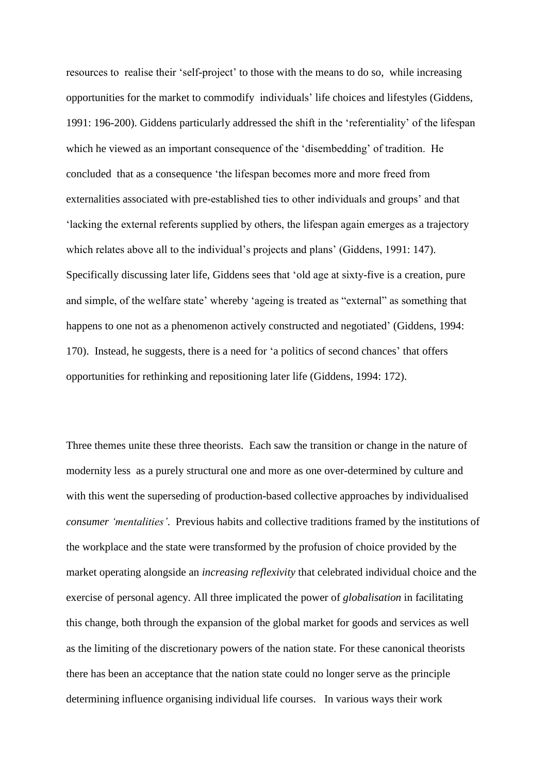resources to realise their 'self-project' to those with the means to do so, while increasing opportunities for the market to commodify individuals' life choices and lifestyles (Giddens, 1991: 196-200). Giddens particularly addressed the shift in the 'referentiality' of the lifespan which he viewed as an important consequence of the 'disembedding' of tradition. He concluded that as a consequence 'the lifespan becomes more and more freed from externalities associated with pre-established ties to other individuals and groups' and that 'lacking the external referents supplied by others, the lifespan again emerges as a trajectory which relates above all to the individual's projects and plans' (Giddens, 1991: 147). Specifically discussing later life, Giddens sees that 'old age at sixty-five is a creation, pure and simple, of the welfare state' whereby 'ageing is treated as "external" as something that happens to one not as a phenomenon actively constructed and negotiated' (Giddens, 1994: 170). Instead, he suggests, there is a need for 'a politics of second chances' that offers opportunities for rethinking and repositioning later life (Giddens, 1994: 172).

Three themes unite these three theorists. Each saw the transition or change in the nature of modernity less as a purely structural one and more as one over-determined by culture and with this went the superseding of production-based collective approaches by individualised *consumer 'mentalities'*. Previous habits and collective traditions framed by the institutions of the workplace and the state were transformed by the profusion of choice provided by the market operating alongside an *increasing reflexivity* that celebrated individual choice and the exercise of personal agency. All three implicated the power of *globalisation* in facilitating this change, both through the expansion of the global market for goods and services as well as the limiting of the discretionary powers of the nation state. For these canonical theorists there has been an acceptance that the nation state could no longer serve as the principle determining influence organising individual life courses. In various ways their work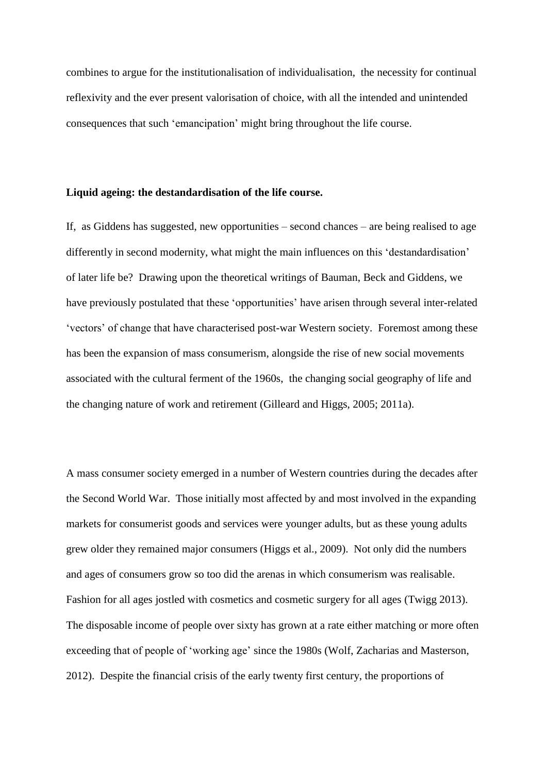combines to argue for the institutionalisation of individualisation, the necessity for continual reflexivity and the ever present valorisation of choice, with all the intended and unintended consequences that such 'emancipation' might bring throughout the life course.

## **Liquid ageing: the destandardisation of the life course.**

If, as Giddens has suggested, new opportunities – second chances – are being realised to age differently in second modernity, what might the main influences on this 'destandardisation' of later life be? Drawing upon the theoretical writings of Bauman, Beck and Giddens, we have previously postulated that these 'opportunities' have arisen through several inter-related 'vectors' of change that have characterised post-war Western society. Foremost among these has been the expansion of mass consumerism, alongside the rise of new social movements associated with the cultural ferment of the 1960s, the changing social geography of life and the changing nature of work and retirement (Gilleard and Higgs, 2005; 2011a).

A mass consumer society emerged in a number of Western countries during the decades after the Second World War. Those initially most affected by and most involved in the expanding markets for consumerist goods and services were younger adults, but as these young adults grew older they remained major consumers (Higgs et al., 2009). Not only did the numbers and ages of consumers grow so too did the arenas in which consumerism was realisable. Fashion for all ages jostled with cosmetics and cosmetic surgery for all ages (Twigg 2013). The disposable income of people over sixty has grown at a rate either matching or more often exceeding that of people of 'working age' since the 1980s (Wolf, Zacharias and Masterson, 2012). Despite the financial crisis of the early twenty first century, the proportions of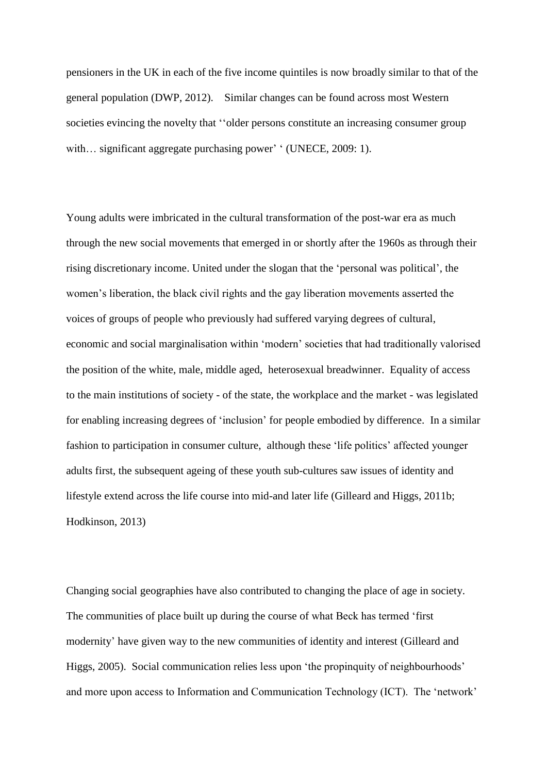pensioners in the UK in each of the five income quintiles is now broadly similar to that of the general population (DWP, 2012). Similar changes can be found across most Western societies evincing the novelty that ''older persons constitute an increasing consumer group with... significant aggregate purchasing power' ' (UNECE, 2009: 1).

Young adults were imbricated in the cultural transformation of the post-war era as much through the new social movements that emerged in or shortly after the 1960s as through their rising discretionary income. United under the slogan that the 'personal was political', the women's liberation, the black civil rights and the gay liberation movements asserted the voices of groups of people who previously had suffered varying degrees of cultural, economic and social marginalisation within 'modern' societies that had traditionally valorised the position of the white, male, middle aged, heterosexual breadwinner. Equality of access to the main institutions of society - of the state, the workplace and the market - was legislated for enabling increasing degrees of 'inclusion' for people embodied by difference. In a similar fashion to participation in consumer culture, although these 'life politics' affected younger adults first, the subsequent ageing of these youth sub-cultures saw issues of identity and lifestyle extend across the life course into mid-and later life (Gilleard and Higgs, 2011b; Hodkinson, 2013)

Changing social geographies have also contributed to changing the place of age in society. The communities of place built up during the course of what Beck has termed 'first modernity' have given way to the new communities of identity and interest (Gilleard and Higgs, 2005). Social communication relies less upon 'the propinquity of neighbourhoods' and more upon access to Information and Communication Technology (ICT). The 'network'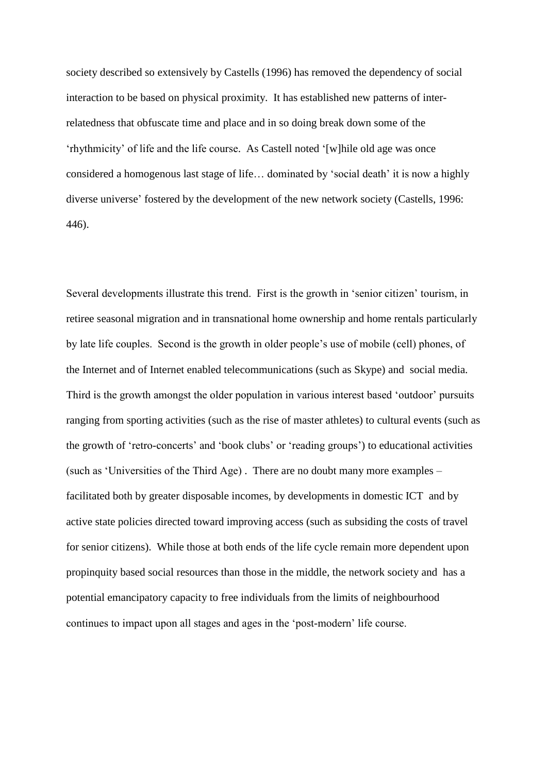society described so extensively by Castells (1996) has removed the dependency of social interaction to be based on physical proximity. It has established new patterns of interrelatedness that obfuscate time and place and in so doing break down some of the 'rhythmicity' of life and the life course. As Castell noted '[w]hile old age was once considered a homogenous last stage of life… dominated by 'social death' it is now a highly diverse universe' fostered by the development of the new network society (Castells, 1996: 446).

Several developments illustrate this trend. First is the growth in 'senior citizen' tourism, in retiree seasonal migration and in transnational home ownership and home rentals particularly by late life couples. Second is the growth in older people's use of mobile (cell) phones, of the Internet and of Internet enabled telecommunications (such as Skype) and social media. Third is the growth amongst the older population in various interest based 'outdoor' pursuits ranging from sporting activities (such as the rise of master athletes) to cultural events (such as the growth of 'retro-concerts' and 'book clubs' or 'reading groups') to educational activities (such as 'Universities of the Third Age) . There are no doubt many more examples – facilitated both by greater disposable incomes, by developments in domestic ICT and by active state policies directed toward improving access (such as subsiding the costs of travel for senior citizens). While those at both ends of the life cycle remain more dependent upon propinquity based social resources than those in the middle, the network society and has a potential emancipatory capacity to free individuals from the limits of neighbourhood continues to impact upon all stages and ages in the 'post-modern' life course.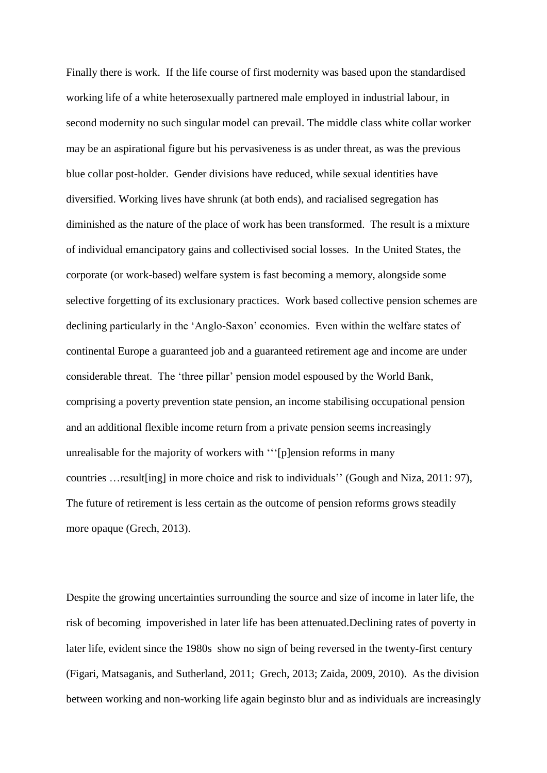Finally there is work. If the life course of first modernity was based upon the standardised working life of a white heterosexually partnered male employed in industrial labour, in second modernity no such singular model can prevail. The middle class white collar worker may be an aspirational figure but his pervasiveness is as under threat, as was the previous blue collar post-holder. Gender divisions have reduced, while sexual identities have diversified. Working lives have shrunk (at both ends), and racialised segregation has diminished as the nature of the place of work has been transformed. The result is a mixture of individual emancipatory gains and collectivised social losses. In the United States, the corporate (or work-based) welfare system is fast becoming a memory, alongside some selective forgetting of its exclusionary practices. Work based collective pension schemes are declining particularly in the 'Anglo-Saxon' economies. Even within the welfare states of continental Europe a guaranteed job and a guaranteed retirement age and income are under considerable threat. The 'three pillar' pension model espoused by the World Bank, comprising a poverty prevention state pension, an income stabilising occupational pension and an additional flexible income return from a private pension seems increasingly unrealisable for the majority of workers with '''[p]ension reforms in many countries …result[ing] in more choice and risk to individuals'' (Gough and Niza, 2011: 97), The future of retirement is less certain as the outcome of pension reforms grows steadily more opaque (Grech, 2013).

Despite the growing uncertainties surrounding the source and size of income in later life, the risk of becoming impoverished in later life has been attenuated.Declining rates of poverty in later life, evident since the 1980s show no sign of being reversed in the twenty-first century (Figari, Matsaganis, and Sutherland, 2011; Grech, 2013; Zaida, 2009, 2010). As the division between working and non-working life again beginsto blur and as individuals are increasingly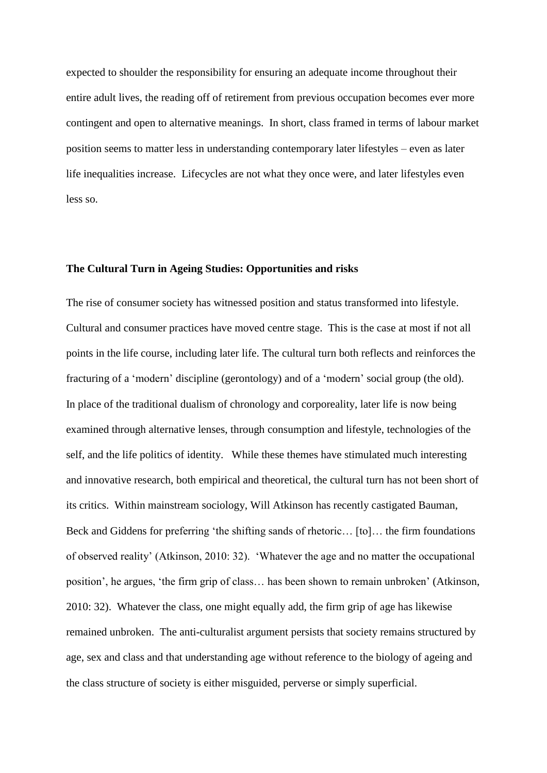expected to shoulder the responsibility for ensuring an adequate income throughout their entire adult lives, the reading off of retirement from previous occupation becomes ever more contingent and open to alternative meanings. In short, class framed in terms of labour market position seems to matter less in understanding contemporary later lifestyles – even as later life inequalities increase. Lifecycles are not what they once were, and later lifestyles even less so.

## **The Cultural Turn in Ageing Studies: Opportunities and risks**

The rise of consumer society has witnessed position and status transformed into lifestyle. Cultural and consumer practices have moved centre stage. This is the case at most if not all points in the life course, including later life. The cultural turn both reflects and reinforces the fracturing of a 'modern' discipline (gerontology) and of a 'modern' social group (the old). In place of the traditional dualism of chronology and corporeality, later life is now being examined through alternative lenses, through consumption and lifestyle, technologies of the self, and the life politics of identity. While these themes have stimulated much interesting and innovative research, both empirical and theoretical, the cultural turn has not been short of its critics. Within mainstream sociology, Will Atkinson has recently castigated Bauman, Beck and Giddens for preferring 'the shifting sands of rhetoric… [to]… the firm foundations of observed reality' (Atkinson, 2010: 32). 'Whatever the age and no matter the occupational position', he argues, 'the firm grip of class… has been shown to remain unbroken' (Atkinson, 2010: 32). Whatever the class, one might equally add, the firm grip of age has likewise remained unbroken. The anti-culturalist argument persists that society remains structured by age, sex and class and that understanding age without reference to the biology of ageing and the class structure of society is either misguided, perverse or simply superficial.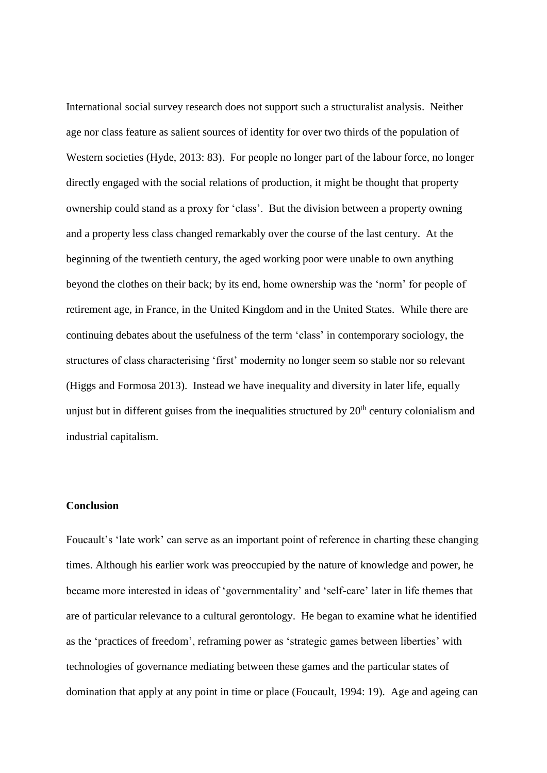International social survey research does not support such a structuralist analysis. Neither age nor class feature as salient sources of identity for over two thirds of the population of Western societies (Hyde, 2013: 83). For people no longer part of the labour force, no longer directly engaged with the social relations of production, it might be thought that property ownership could stand as a proxy for 'class'. But the division between a property owning and a property less class changed remarkably over the course of the last century. At the beginning of the twentieth century, the aged working poor were unable to own anything beyond the clothes on their back; by its end, home ownership was the 'norm' for people of retirement age, in France, in the United Kingdom and in the United States. While there are continuing debates about the usefulness of the term 'class' in contemporary sociology, the structures of class characterising 'first' modernity no longer seem so stable nor so relevant (Higgs and Formosa 2013). Instead we have inequality and diversity in later life, equally unjust but in different guises from the inequalities structured by  $20<sup>th</sup>$  century colonialism and industrial capitalism.

# **Conclusion**

Foucault's 'late work' can serve as an important point of reference in charting these changing times. Although his earlier work was preoccupied by the nature of knowledge and power, he became more interested in ideas of 'governmentality' and 'self-care' later in life themes that are of particular relevance to a cultural gerontology. He began to examine what he identified as the 'practices of freedom', reframing power as 'strategic games between liberties' with technologies of governance mediating between these games and the particular states of domination that apply at any point in time or place (Foucault, 1994: 19). Age and ageing can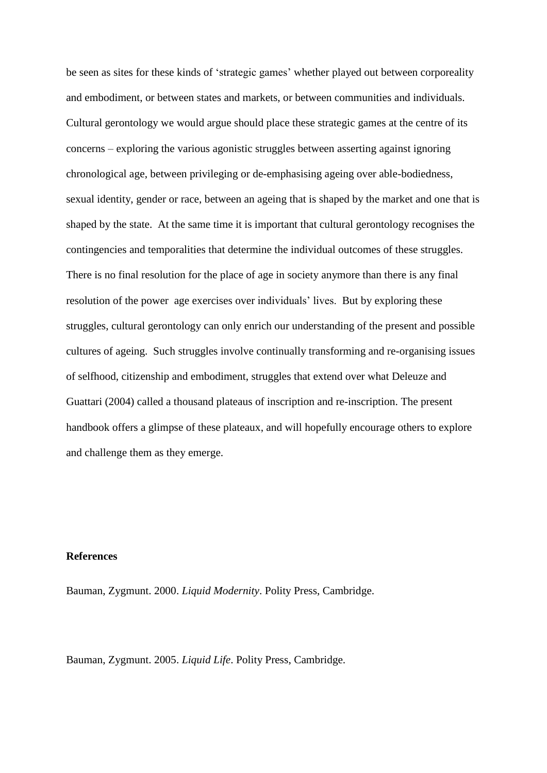be seen as sites for these kinds of 'strategic games' whether played out between corporeality and embodiment, or between states and markets, or between communities and individuals. Cultural gerontology we would argue should place these strategic games at the centre of its concerns – exploring the various agonistic struggles between asserting against ignoring chronological age, between privileging or de-emphasising ageing over able-bodiedness, sexual identity, gender or race, between an ageing that is shaped by the market and one that is shaped by the state. At the same time it is important that cultural gerontology recognises the contingencies and temporalities that determine the individual outcomes of these struggles. There is no final resolution for the place of age in society anymore than there is any final resolution of the power age exercises over individuals' lives. But by exploring these struggles, cultural gerontology can only enrich our understanding of the present and possible cultures of ageing. Such struggles involve continually transforming and re-organising issues of selfhood, citizenship and embodiment, struggles that extend over what Deleuze and Guattari (2004) called a thousand plateaus of inscription and re-inscription. The present handbook offers a glimpse of these plateaux, and will hopefully encourage others to explore and challenge them as they emerge.

# **References**

Bauman, Zygmunt. 2000. *Liquid Modernity*. Polity Press, Cambridge.

Bauman, Zygmunt. 2005. *Liquid Life*. Polity Press, Cambridge.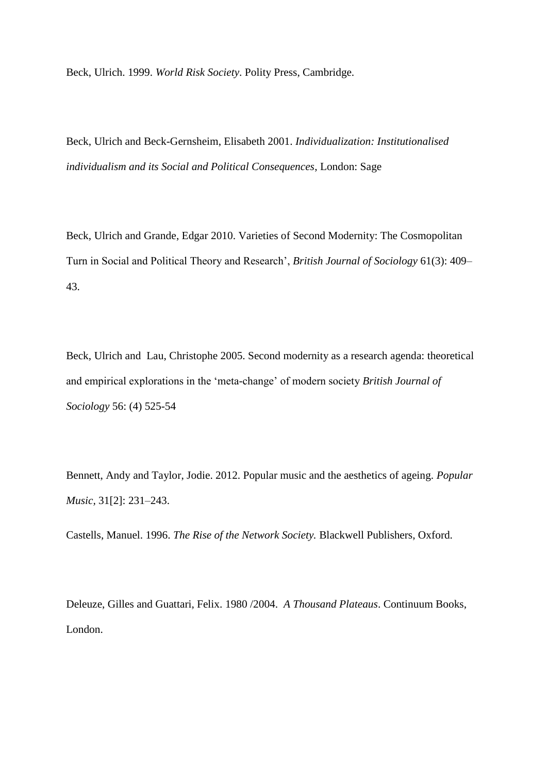Beck, Ulrich. 1999. *World Risk Society*. Polity Press, Cambridge.

Beck, Ulrich and Beck-Gernsheim, Elisabeth 2001. *Individualization: Institutionalised individualism and its Social and Political Consequences*, London: Sage

Beck, Ulrich and Grande, Edgar 2010. Varieties of Second Modernity: The Cosmopolitan Turn in Social and Political Theory and Research', *British Journal of Sociology* 61(3): 409– 43.

Beck, Ulrich and Lau, Christophe 2005. Second modernity as a research agenda: theoretical and empirical explorations in the 'meta-change' of modern society *British Journal of Sociology* 56: (4) 525-54

Bennett, Andy and Taylor, Jodie. 2012. Popular music and the aesthetics of ageing. *Popular Music,* 31[2]: 231–243.

Castells, Manuel. 1996. *The Rise of the Network Society.* Blackwell Publishers, Oxford.

Deleuze, Gilles and Guattari, Felix. 1980 /2004. *A Thousand Plateaus*. Continuum Books, London.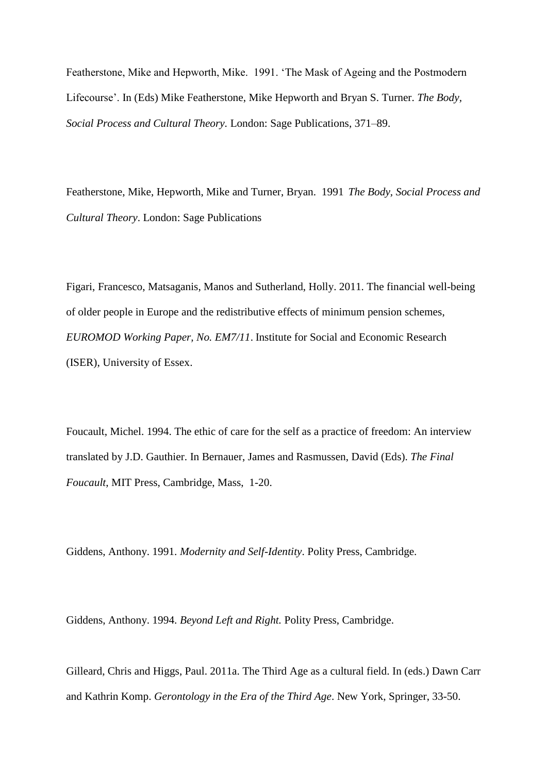Featherstone, Mike and Hepworth, Mike. 1991. 'The Mask of Ageing and the Postmodern Lifecourse'. In (Eds) Mike Featherstone, Mike Hepworth and Bryan S. Turner. *The Body, Social Process and Cultural Theory.* London: Sage Publications, 371–89.

Featherstone, Mike, Hepworth, Mike and Turner, Bryan. 1991 *The Body, Social Process and Cultural Theory*. London: Sage Publications

Figari, Francesco, Matsaganis, Manos and Sutherland, Holly. 2011. The financial well-being of older people in Europe and the redistributive effects of minimum pension schemes, *EUROMOD Working Paper, No. EM7/11*. Institute for Social and Economic Research (ISER), University of Essex.

Foucault, Michel. 1994. The ethic of care for the self as a practice of freedom: An interview translated by J.D. Gauthier. In Bernauer, James and Rasmussen, David (Eds). *The Final Foucault*, MIT Press, Cambridge, Mass, 1-20.

Giddens, Anthony. 1991. *Modernity and Self-Identity*. Polity Press, Cambridge.

Giddens, Anthony. 1994. *Beyond Left and Right.* Polity Press, Cambridge.

Gilleard, Chris and Higgs, Paul. 2011a. The Third Age as a cultural field. In (eds.) Dawn Carr and Kathrin Komp. *Gerontology in the Era of the Third Age*. New York, Springer, 33-50.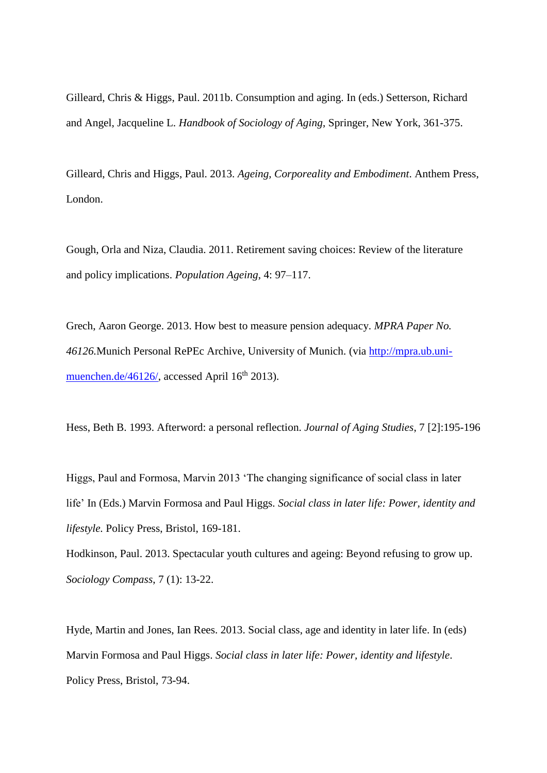Gilleard, Chris & Higgs, Paul. 2011b. Consumption and aging. In (eds.) Setterson, Richard and Angel, Jacqueline L. *Handbook of Sociology of Aging*, Springer, New York, 361-375.

Gilleard, Chris and Higgs, Paul. 2013. *Ageing, Corporeality and Embodiment*. Anthem Press, London.

Gough, Orla and Niza, Claudia. 2011. Retirement saving choices: Review of the literature and policy implications. *Population Ageing*, 4: 97–117.

Grech, Aaron George. 2013. How best to measure pension adequacy. *MPRA Paper No. 46126.*Munich Personal RePEc Archive, University of Munich. (via [http://mpra.ub.uni](http://mpra.ub.uni-muenchen.de/46126/)[muenchen.de/46126/,](http://mpra.ub.uni-muenchen.de/46126/) accessed April  $16<sup>th</sup> 2013$ ).

Hess, Beth B. 1993. Afterword: a personal reflection. *Journal of Aging Studies*, 7 [2]:195-196

Higgs, Paul and Formosa, Marvin 2013 'The changing significance of social class in later life' In (Eds.) Marvin Formosa and Paul Higgs. *Social class in later life: Power, identity and lifestyle.* Policy Press, Bristol, 169-181.

Hodkinson, Paul. 2013. Spectacular youth cultures and ageing: Beyond refusing to grow up. *Sociology Compass*, 7 (1): 13-22.

Hyde, Martin and Jones, Ian Rees. 2013. Social class, age and identity in later life. In (eds) Marvin Formosa and Paul Higgs. *Social class in later life: Power, identity and lifestyle*. Policy Press, Bristol, 73-94.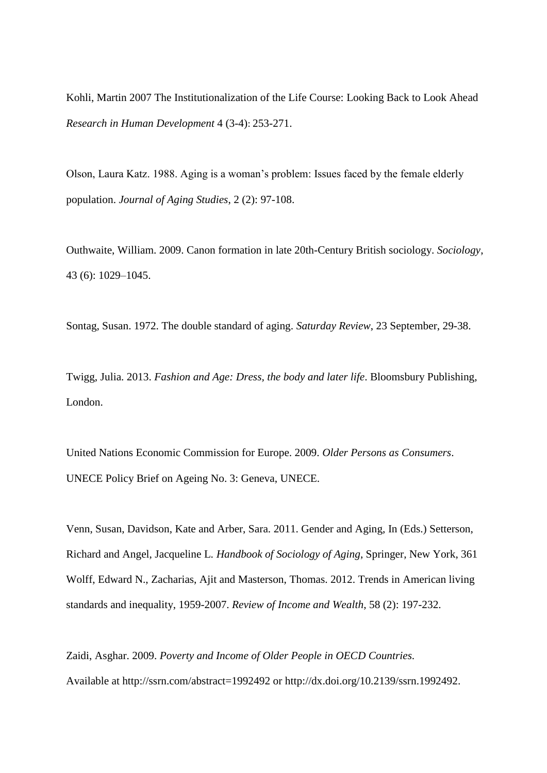Kohli, Martin 2007 The Institutionalization of the Life Course: Looking Back to Look Ahead *Research in Human Development* 4 (3-4): 253-271.

Olson, Laura Katz. 1988. Aging is a woman's problem: Issues faced by the female elderly population. *Journal of Aging Studies*, 2 (2): 97-108.

Outhwaite, William. 2009. Canon formation in late 20th-Century British sociology. *Sociology*, 43 (6): 1029–1045.

Sontag, Susan. 1972. The double standard of aging. *Saturday Review*, 23 September, 29-38.

Twigg, Julia. 2013. *Fashion and Age: Dress, the body and later life*. Bloomsbury Publishing, London.

United Nations Economic Commission for Europe. 2009. *Older Persons as Consumers*. UNECE Policy Brief on Ageing No. 3: Geneva, UNECE.

Venn, Susan, Davidson, Kate and Arber, Sara. 2011. Gender and Aging, In (Eds.) Setterson, Richard and Angel, Jacqueline L. *Handbook of Sociology of Aging*, Springer, New York, 361 Wolff, Edward N., Zacharias, Ajit and Masterson, Thomas. 2012. Trends in American living standards and inequality, 1959-2007. *Review of Income and Wealth*, 58 (2): 197-232.

Zaidi, Asghar. 2009. *Poverty and Income of Older People in OECD Countries.* Available at http://ssrn.com/abstract=1992492 or http://dx.doi.org/10.2139/ssrn.1992492.